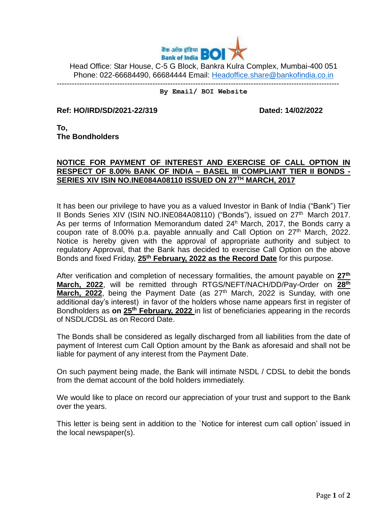

Head Office: Star House, C-5 G Block, Bankra Kulra Complex, Mumbai-400 051 Phone: 022-66684490, 66684444 Email: [Headoffice.share@bankofindia.co.in](mailto:Headoffice.share@bankofindia.co.in)

----------------------------------------------------------------------------------------------------------------

## **By Email/ BOI Website**

**Ref: HO/IRD/SD/2021-22/319 Dated: 14/02/2022** 

**To, The Bondholders**

## **NOTICE FOR PAYMENT OF INTEREST AND EXERCISE OF CALL OPTION IN RESPECT OF 8.00% BANK OF INDIA – BASEL III COMPLIANT TIER II BONDS - SERIES XIV ISIN NO.INE084A08110 ISSUED ON 27 TH MARCH, 2017**

It has been our privilege to have you as a valued Investor in Bank of India ("Bank") Tier II Bonds Series XIV (ISIN NO.INE084A08110) ("Bonds"), issued on 27<sup>th</sup> March 2017. As per terms of Information Memorandum dated  $24<sup>h</sup>$  March, 2017, the Bonds carry a coupon rate of 8.00% p.a. payable annually and Call Option on  $27<sup>th</sup>$  March, 2022. Notice is hereby given with the approval of appropriate authority and subject to regulatory Approval, that the Bank has decided to exercise Call Option on the above Bonds and fixed Friday, **25th February, 2022 as the Record Date** for this purpose.

After verification and completion of necessary formalities, the amount payable on **27th March, 2022**, will be remitted through RTGS/NEFT/NACH/DD/Pay-Order on **28th March, 2022**, being the Payment Date (as 27<sup>th</sup> March, 2022 is Sunday, with one additional day's interest) in favor of the holders whose name appears first in register of Bondholders as **on 25th February, 2022** in list of beneficiaries appearing in the records of NSDL/CDSL as on Record Date.

The Bonds shall be considered as legally discharged from all liabilities from the date of payment of Interest cum Call Option amount by the Bank as aforesaid and shall not be liable for payment of any interest from the Payment Date.

On such payment being made, the Bank will intimate NSDL / CDSL to debit the bonds from the demat account of the bold holders immediately.

We would like to place on record our appreciation of your trust and support to the Bank over the years.

This letter is being sent in addition to the `Notice for interest cum call option' issued in the local newspaper(s).